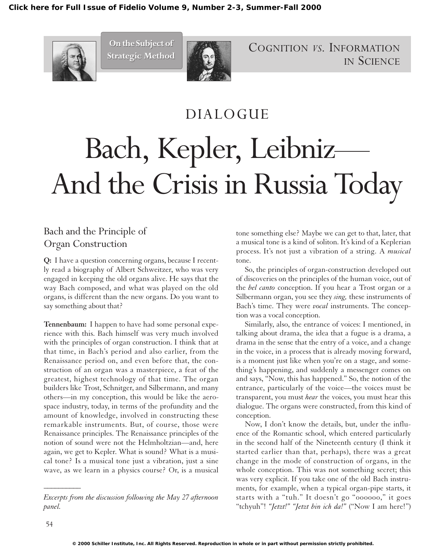

**On the Subject of On the Subject of Strategic Method Strategic Method**



COGNITION *VS.* INFORMATION IN SCIENCE

# DIALOGUE Bach, Kepler, Leibniz— And the Crisis in Russia Today

## Bach and the Principle of Organ Construction

**Q:** I have a question concerning organs, because I recently read a biography of Albert Schweitzer, who was very engaged in keeping the old organs alive. He says that the way Bach composed, and what was played on the old organs, is different than the new organs. Do you want to say something about that?

**Tennenbaum:** I happen to have had some personal experience with this. Bach himself was very much involved with the principles of organ construction. I think that at that time, in Bach's period and also earlier, from the Renaissance period on, and even before that, the construction of an organ was a masterpiece, a feat of the greatest, highest technology of that time. The organ builders like Trost, Schnitger, and Silbermann, and many others—in my conception, this would be like the aerospace industry, today, in terms of the profundity and the amount of knowledge, involved in constructing these remarkable instruments. But, of course, those were Renaissance principles. The Renaissance principles of the notion of sound were not the Helmholtzian—and, here again, we get to Kepler. What is sound? What is a musical tone? Is a musical tone just a vibration, just a sine wave, as we learn in a physics course? Or, is a musical

tone something else? Maybe we can get to that, later, that a musical tone is a kind of soliton. It's kind of a Keplerian process. It's not just a vibration of a string. A *musical* tone.

So, the principles of organ-construction developed out of discoveries on the principles of the human voice, out of the *bel canto* conception. If you hear a Trost organ or a Silbermann organ, you see they *sing,* these instruments of Bach's time. They were *vocal* instruments. The conception was a vocal conception.

Similarly, also, the entrance of voices: I mentioned, in talking about drama, the idea that a fugue is a drama, a drama in the sense that the entry of a voice, and a change in the voice, in a process that is already moving forward, is a moment just like when you're on a stage, and something's happening, and suddenly a messenger comes on and says, "Now, this has happened." So, the notion of the entrance, particularly of the voice—the voices must be transparent, you must *hear* the voices, you must hear this dialogue. The organs were constructed, from this kind of conception.

Now, I don't know the details, but, under the influence of the Romantic school, which entered particularly in the second half of the Nineteenth century (I think it started earlier than that, perhaps), there was a great change in the mode of construction of organs, in the whole conception. This was not something secret; this was very explicit. If you take one of the old Bach instruments, for example, when a typical organ-pipe starts, it starts with a "tuh." It doesn't go "oooooo," it goes "tchyuh"! *"Jetzt!" "Jetzt bin ich da!"* ("Now I am here!")

*\_\_\_\_\_\_\_\_\_\_*

*Excerpts from the discussion following the May 27 afternoon panel.*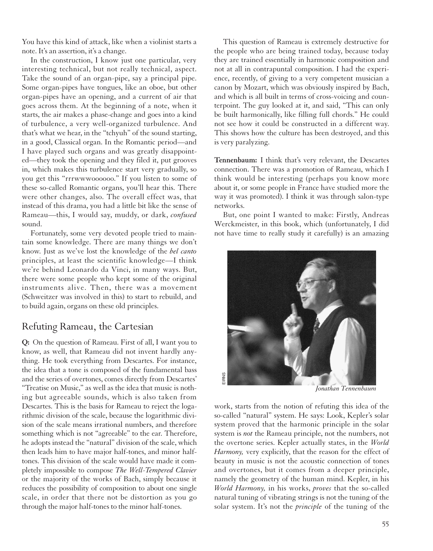You have this kind of attack, like when a violinist starts a note. It's an assertion, it's a change.

In the construction, I know just one particular, very interesting technical, but not really technical, aspect. Take the sound of an organ-pipe, say a principal pipe. Some organ-pipes have tongues, like an oboe, but other organ-pipes have an opening, and a current of air that goes across them. At the beginning of a note, when it starts, the air makes a phase-change and goes into a kind of turbulence, a very well-organized turbulence. And that's what we hear, in the "tchyuh" of the sound starting, in a good, Classical organ. In the Romantic period—and I have played such organs and was greatly disappointed—they took the opening and they filed it, put grooves in, which makes this turbulence start very gradually, so you get this "rrrwwwoooooo." If you listen to some of these so-called Romantic organs, you'll hear this. There were other changes, also. The overall effect was, that instead of this drama, you had a little bit like the sense of Rameau—this, I would say, muddy, or dark, *confused* sound.

Fortunately, some very devoted people tried to maintain some knowledge. There are many things we don't know. Just as we've lost the knowledge of the *bel canto* principles, at least the scientific knowledge—I think we're behind Leonardo da Vinci, in many ways. But, there were some people who kept some of the original instruments alive. Then, there was a movement (Schweitzer was involved in this) to start to rebuild, and to build again, organs on these old principles.

#### Refuting Rameau, the Cartesian

**Q:** On the question of Rameau. First of all, I want you to know, as well, that Rameau did not invent hardly anything. He took everything from Descartes. For instance, the idea that a tone is composed of the fundamental bass and the series of overtones, comes directly from Descartes' "Treatise on Music," as well as the idea that music is nothing but agreeable sounds, which is also taken from Descartes. This is the basis for Rameau to reject the logarithmic division of the scale, because the logarithmic division of the scale means irrational numbers, and therefore something which is not "agreeable" to the ear. Therefore, he adopts instead the "natural" division of the scale, which then leads him to have major half-tones, and minor halftones. This division of the scale would have made it completely impossible to compose *The Well-Tempered Clavier* or the majority of the works of Bach, simply because it reduces the possibility of composition to about one single scale, in order that there not be distortion as you go through the major half-tones to the minor half-tones.

This question of Rameau is extremely destructive for the people who are being trained today, because today they are trained essentially in harmonic composition and not at all in contrapuntal composition. I had the experience, recently, of giving to a very competent musician a canon by Mozart, which was obviously inspired by Bach, and which is all built in terms of cross-voicing and counterpoint. The guy looked at it, and said, "This can only be built harmonically, like filling full chords." He could not see how it could be constructed in a different way. This shows how the culture has been destroyed, and this is very paralyzing.

**Tennenbaum:** I think that's very relevant, the Descartes connection. There was a promotion of Rameau, which I think would be interesting (perhaps you know more about it, or some people in France have studied more the way it was promoted). I think it was through salon-type networks.

But, one point I wanted to make: Firstly, Andreas Werckmeister, in this book, which (unfortunately, I did not have time to really study it carefully) is an amazing



*Jonathan Tennenbaum*

work, starts from the notion of refuting this idea of the so-called "natural" system. He says: Look, Kepler's solar system proved that the harmonic principle in the solar system is *not* the Rameau principle, not the numbers, not the overtone series. Kepler actually states, in the *World Harmony,* very explicitly, that the reason for the effect of beauty in music is not the acoustic connection of tones and overtones, but it comes from a deeper principle, namely the geometry of the human mind. Kepler, in his *World Harmony,* in his works, *proves* that the so-called natural tuning of vibrating strings is not the tuning of the solar system. It's not the *principle* of the tuning of the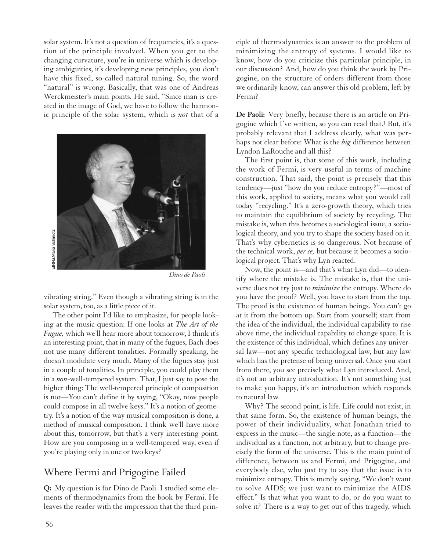solar system. It's not a question of frequencies, it's a question of the principle involved. When you get to the changing curvature, you're in universe which is developing ambiguities, it's developing new principles, you don't have this fixed, so-called natural tuning. So, the word "natural" is wrong. Basically, that was one of Andreas Werckmeister's main points. He said, "Since man is created in the image of God, we have to follow the harmonic principle of the solar system, which is *not* that of a



*Dino de Paoli*

vibrating string." Even though a vibrating string is in the solar system, too, as a little piece of it.

The other point I'd like to emphasize, for people looking at the music question: If one looks at *The Art of the Fugue,* which we'll hear more about tomorrow, I think it's an interesting point, that in many of the fugues, Bach does not use many different tonalities. Formally speaking, he doesn't modulate very much. Many of the fugues stay just in a couple of tonalities. In principle, you could play them in a *non*-well-tempered system. That, I just say to pose the higher thing: The well-tempered principle of composition is not—You can't define it by saying, "Okay, now people could compose in all twelve keys." It's a notion of geometry. It's a notion of the way musical composition is done, a method of musical composition. I think we'll have more about this, tomorrow, but that's a very interesting point. How are you composing in a well-tempered way, even if you're playing only in one or two keys?

## Where Fermi and Prigogine Failed

**Q:** My question is for Dino de Paoli. I studied some elements of thermodynamics from the book by Fermi. He leaves the reader with the impression that the third principle of thermodynamics is an answer to the problem of minimizing the entropy of systems. I would like to know, how do you criticize this particular principle, in our discussion? And, how do you think the work by Prigogine, on the structure of orders different from those we ordinarily know, can answer this old problem, left by Fermi?

**De Paoli:** Very briefly, because there is an article on Prigogine which I've written, so you can read that.1 But, it's probably relevant that I address clearly, what was perhaps not clear before: What is the *big* difference between Lyndon LaRouche and all this?

The first point is, that some of this work, including the work of Fermi, is very useful in terms of machine construction. That said, the point is precisely that this tendency—just "how do you reduce entropy?"—most of this work, applied to society, means what you would call today "recycling." It's a zero-growth theory, which tries to maintain the equilibrium of society by recycling. The mistake is, when this becomes a sociological issue, a sociological theory, and you try to shape the society based on it. That's why cybernetics is so dangerous. Not because of the technical work, *per se,* but because it becomes a sociological project. That's why Lyn reacted.

Now, the point is—and that's what Lyn did—to identify where the mistake is. The mistake is, that the universe does not try just to *minimize* the entropy. Where do you have the proof? Well, you have to start from the top. The proof is the existence of human beings. You can't go at it from the bottom up. Start from yourself; start from the idea of the individual, the individual capability to rise above time, the individual capability to change space. It is the existence of this individual, which defines any universal law—not any specific technological law, but any law which has the pretense of being universal. Once you start from there, you see precisely what Lyn introduced. And, it's not an arbitrary introduction. It's not something just to make you happy, it's an introduction which responds to natural law.

Why? The second point, is life. Life could not exist, in that same form. So, the existence of human beings, the power of their individuality, what Jonathan tried to express in the music—the single note, as a function—the individual as a function, not arbitrary, but to change precisely the form of the universe. This is the main point of difference, between us and Fermi, and Prigogine, and everybody else, who just try to say that the issue is to minimize entropy. This is merely saying, "We don't want to solve AIDS; we just want to minimize the AIDS effect." Is that what you want to do, or do you want to solve it? There is a way to get out of this tragedy, which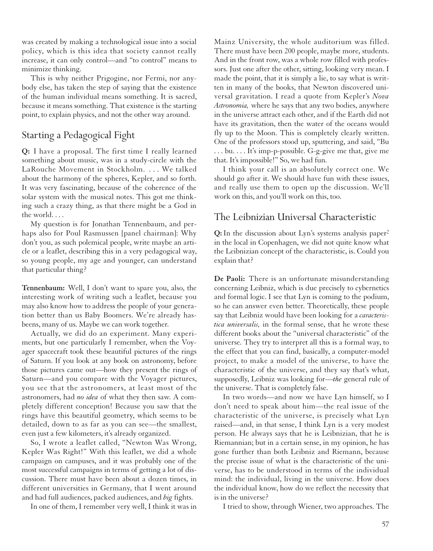was created by making a technological issue into a social policy, which is this idea that society cannot really increase, it can only control—and "to control" means to minimize thinking.

This is why neither Prigogine, nor Fermi, nor anybody else, has taken the step of saying that the existence of the human individual means something. It is sacred, because it means something. That existence is the starting point, to explain physics, and not the other way around.

### Starting a Pedagogical Fight

**Q:** I have a proposal. The first time I really learned something about music, was in a study-circle with the LaRouche Movement in Stockholm. . . . We talked about the harmony of the spheres, Kepler, and so forth. It was very fascinating, because of the coherence of the solar system with the musical notes. This got me thinking such a crazy thing, as that there might be a God in the world. . . .

My question is for Jonathan Tennenbaum, and perhaps also for Poul Rasmussen [panel chairman]: Why don't you, as such polemical people, write maybe an article or a leaflet, describing this in a very pedagogical way, so young people, my age and younger, can understand that particular thing?

**Tennenbaum:** Well, I don't want to spare you, also, the interesting work of writing such a leaflet, because you may also know how to address the people of your generation better than us Baby Boomers. We're already hasbeens, many of us. Maybe we can work together.

Actually, we did do an experiment. Many experiments, but one particularly I remember, when the Voyager spacecraft took these beautiful pictures of the rings of Saturn. If you look at any book on astronomy, before those pictures came out—how they present the rings of Saturn—and you compare with the Voyager pictures, you see that the astronomers, at least most of the astronomers, had *no idea* of what they then saw. A completely different conception! Because you saw that the rings have this beautiful geometry, which seems to be detailed, down to as far as you can see—the smallest, even just a few kilometers, it's already organized.

So, I wrote a leaflet called, "Newton Was Wrong, Kepler Was Right!" With this leaflet, we did a whole campaign on campuses, and it was probably one of the most successful campaigns in terms of getting a lot of discussion. There must have been about a dozen times, in different universities in Germany, that I went around and had full audiences, packed audiences, and *big* fights.

In one of them, I remember very well, I think it was in

Mainz University, the whole auditorium was filled. There must have been 200 people, maybe more, students. And in the front row, was a whole row filled with professors. Just one after the other, sitting, looking very mean. I made the point, that it is simply a lie, to say what is written in many of the books, that Newton discovered universal gravitation. I read a quote from Kepler's *Nova Astronomia,* where he says that any two bodies, anywhere in the universe attract each other, and if the Earth did not have its gravitation, then the water of the oceans would fly up to the Moon. This is completely clearly written. One of the professors stood up, sputtering, and said, "Bu . . . bu. . . . It's imp-p-possible. G-g-give me that, give me that. It's impossible!" So, we had fun.

I think your call is an absolutely correct one. We should go after it. We should have fun with these issues, and really use them to open up the discussion. We'll work on this, and you'll work on this, too.

#### The Leibnizian Universal Characteristic

**Q:** In the discussion about Lyn's systems analysis paper2 in the local in Copenhagen, we did not quite know what the Leibnizian concept of the characteristic, is. Could you explain that?

**De Paoli:** There is an unfortunate misunderstanding concerning Leibniz, which is due precisely to cybernetics and formal logic. I see that Lyn is coming to the podium, so he can answer even better. Theoretically, these people say that Leibniz would have been looking for a *caracteristica universalis,* in the formal sense, that he wrote these different books about the "universal characteristic" of the universe. They try to interpret all this is a formal way, to the effect that you can find, basically, a computer-model project, to make a model of the universe, to have the characteristic of the universe, and they say that's what, supposedly, Leibniz was looking for—*the* general rule of the universe. That is completely false.

In two words—and now we have Lyn himself, so I don't need to speak about him—the real issue of the characteristic of the universe, is precisely what Lyn raised—and, in that sense, I think Lyn is a very modest person. He always says that he is Leibnizian, that he is Riemannian; but in a certain sense, in my opinion, he has gone further than both Leibniz and Riemann, because the precise issue of what is the characteristic of the universe, has to be understood in terms of the individual mind: the individual, living in the universe. How does the individual know, how do we reflect the necessity that is in the universe?

I tried to show, through Wiener, two approaches. The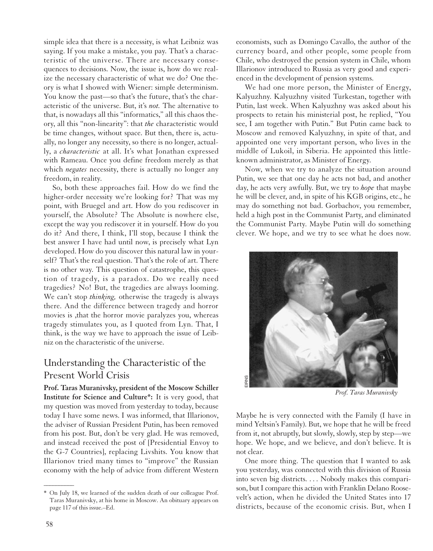simple idea that there is a necessity, is what Leibniz was saying. If you make a mistake, you pay. That's a characteristic of the universe. There are necessary consequences to decisions. Now, the issue is, how do we realize the necessary characteristic of what we do? One theory is what I showed with Wiener: simple determinism. You know the past—so that's the future, that's the characteristic of the universe. But, it's *not.* The alternative to that, is nowadays all this "informatics," all this chaos theory, all this "non-linearity": that *the* characteristic would be time changes, without space. But then, there is, actually, no longer any necessity, so there is no longer, actually, a *characteristic* at all. It's what Jonathan expressed with Rameau. Once you define freedom merely as that which *negates* necessity, there is actually no longer any freedom, in reality.

So, both these approaches fail. How do we find the higher-order necessity we're looking for? That was my point, with Bruegel and art. How do you rediscover in yourself, the Absolute? The Absolute is nowhere else, except the way you rediscover it in yourself. How do you do it? And there, I think, I'll stop, because I think the best answer I have had until now, is precisely what Lyn developed. How do you discover this natural law in yourself? That's the real question. That's the role of art. There is no other way. This question of catastrophe, this question of tragedy, is a paradox. Do we really need tragedies? No! But, the tragedies are always looming. We can't stop *thinking,* otherwise the tragedy is always there. And the difference between tragedy and horror movies is ,that the horror movie paralyzes you, whereas tragedy stimulates you, as I quoted from Lyn. That, I think, is the way we have to approach the issue of Leibniz on the characteristic of the universe.

### Understanding the Characteristic of the Present World Crisis

**Prof. Taras Muranivsky, president of the Moscow Schiller Institute for Science and Culture\*:** It is very good, that my question was moved from yesterday to today, because today I have some news. I was informed, that Illarionov, the adviser of Russian President Putin, has been removed from his post. But, don't be very glad. He was removed, and instead received the post of [Presidential Envoy to the G-7 Countries], replacing Livshits. You know that Illarionov tried many times to "improve" the Russian economy with the help of advice from different Western economists, such as Domingo Cavallo, the author of the currency board, and other people, some people from Chile, who destroyed the pension system in Chile, whom Illarionov introduced to Russia as very good and experienced in the development of pension systems.

We had one more person, the Minister of Energy, Kalyuzhny. Kalyuzhny visited Turkestan, together with Putin, last week. When Kalyuzhny was asked about his prospects to retain his ministerial post, he replied, "You see, I am together with Putin." But Putin came back to Moscow and removed Kalyuzhny, in spite of that, and appointed one very important person, who lives in the middle of Lukoil, in Siberia. He appointed this littleknown administrator, as Minister of Energy.

Now, when we try to analyze the situation around Putin, we see that one day he acts not bad, and another day, he acts very awfully. But, we try to *hope* that maybe he will be clever, and, in spite of his KGB origins, etc., he may do something not bad. Gorbachov, you remember, held a high post in the Communist Party, and eliminated the Communist Party. Maybe Putin will do something clever. We hope, and we try to see what he does now.



*Prof. Taras Muranivsky*

Maybe he is very connected with the Family (I have in mind Yeltsin's Family). But, we hope that he will be freed from it, not abruptly, but slowly, slowly, step by step—we hope. We hope, and we believe, and don't believe. It is not clear.

One more thing. The question that I wanted to ask you yesterday, was connected with this division of Russia into seven big districts. . . . Nobody makes this comparison, but I compare this action with Franklin Delano Roosevelt's action, when he divided the United States into 17 districts, because of the economic crisis. But, when I

 $\overline{\phantom{a}}$ 

<sup>\*</sup> On July 18, we learned of the sudden death of our colleague Prof. Taras Muranivsky, at his home in Moscow. An obituary appears on page 117 of this issue.–Ed.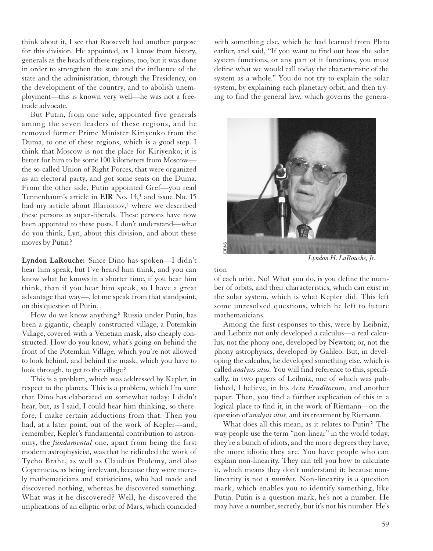think about it, I see that Roosevelt had another purpose for this division. He appointed, as I know from history, generals as the heads of these regions, too, but it was done in order to strengthen the state and the influence of the state and the administration, through the Presidency, on the development of the country, and to abolish unemployment—this is known very well—he was not a freetrade advocate.

But Putin, from one side, appointed five generals among the seven leaders of these regions, and he removed former Prime Minister Kiriyenko from the Duma, to one of these regions, which is a good step. I think that Moscow is not the place for Kiriyenko; it is better for him to be some 100 kilometers from Moscow the so-called Union of Right Forces, that were organized as an electoral party, and got some seats on the Duma. From the other side, Putin appointed Gref—you read Tennenbaum's article in **EIR** No. 14,3 and issue No. 15 had my article about Illarionov,<sup>4</sup> where we described these persons as super-liberals. These persons have now been appointed to these posts. I don't understand—what do you think, Lyn, about this division, and about these moves by Putin?

**Lyndon LaRouche:** Since Dino has spoken—I didn't hear him speak, but I've heard him think, and you can know what he knows in a shorter time, if you hear him think, than if you hear him speak, so I have a great advantage that way—, let me speak from that standpoint, on this question of Putin.

How do we know anything? Russia under Putin, has been a gigantic, cheaply constructed village, a Potemkin Village, covered with a Venetian mask, also cheaply constructed. How do you know, what's going on behind the front of the Potemkin Village, which you're not allowed to look behind, and behind the mask, which you have to look through, to get to the village?

This is a problem, which was addressed by Kepler, in respect to the planets. This is a problem, which I'm sure that Dino has elaborated on somewhat today; I didn't hear, but, as I said, I could hear him thinking, so therefore, I make certain adductions from that. Then you had, at a later point, out of the work of Kepler—and, remember, Kepler's fundamental contribution to astronomy, the *fundamental* one, apart from being the first modern astrophysicist, was that he ridiculed the work of Tycho Brahe, as well as Claudius Ptolemy, and also Copernicus, as being irrelevant, because they were merely mathematicians and statisticians, who had made and discovered nothing, whereas he discovered something. What was it he discovered? Well, he discovered the implications of an elliptic orbit of Mars, which coincided

with something else, which he had learned from Plato earlier, and said, "If you want to find out how the solar system functions, or any part of it functions, you must define what we would call today the characteristic of the system as a whole." You do not try to explain the solar system, by explaining each planetary orbit, and then trying to find the general law, which governs the genera-



*Lyndon H. LaRouche, Jr.*

tion

of each orbit. No! What you do, is you define the number of orbits, and their characteristics, which can exist in the solar system, which is what Kepler did. This left some unresolved questions, which he left to future mathematicians.

Among the first responses to this, were by Leibniz, and Leibniz not only developed a calculus—a real calculus, not the phony one, developed by Newton; or, not the phony astrophysics, developed by Galileo. But, in developing the calculus, he developed something else, which is called *analysis situs.* You will find reference to this, specifically, in two papers of Leibniz, one of which was published, I believe, in his *Acta Eruditorum,* and another paper. Then, you find a further explication of this in a logical place to find it, in the work of Riemann—on the question of *analysis situs,* and its treatment by Riemann.

What does all this mean, as it relates to Putin? The way people use the term "non-linear" in the world today, they're a bunch of idiots, and the more degrees they have, the more idiotic they are. You have people who can explain non-linearity. They can tell you how to calculate it, which means they don't understand it; because nonlinearity is not a *number.* Non-linearity is a question mark, which enables you to identify something, like Putin. Putin is a question mark, he's not a number. He may have a number, secretly, but it's not his number. He's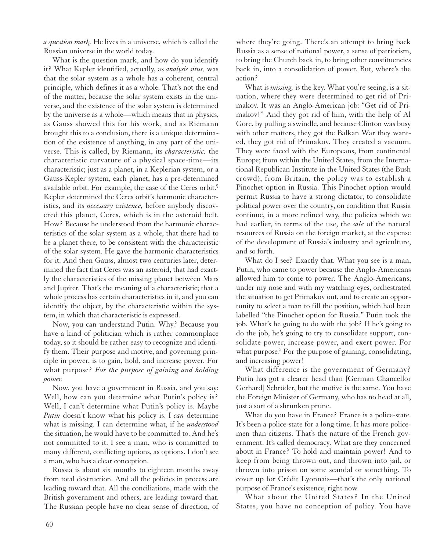*a question mark.* He lives in a universe, which is called the Russian universe in the world today.

What is the question mark, and how do you identify it? What Kepler identified, actually, as *analysis situs,* was that the solar system as a whole has a coherent, central principle, which defines it as a whole. That's not the end of the matter, because the solar system exists in the universe, and the existence of the solar system is determined by the universe as a whole—which means that in physics, as Gauss showed this for his work, and as Riemann brought this to a conclusion, there is a unique determination of the existence of anything, in any part of the universe. This is called, by Riemann, its *characteristic,* the characteristic curvature of a physical space-time—its characteristic; just as a planet, in a Keplerian system, or a Gauss-Kepler system, each planet, has a pre-determined available orbit. For example, the case of the Ceres orbit.5 Kepler determined the Ceres orbit's harmonic characteristics, and its *necessary existence,* before anybody discovered this planet, Ceres, which is in the asteroid belt. How? Because he understood from the harmonic characteristics of the solar system as a whole, that there had to be a planet there, to be consistent with the characteristic of the solar system. He gave the harmonic characteristics for it. And then Gauss, almost two centuries later, determined the fact that Ceres was an asteroid, that had exactly the characteristics of the missing planet between Mars and Jupiter. That's the meaning of a characteristic; that a whole process has certain characteristics in it, and you can identify the object, by the characteristic within the system, in which that characteristic is expressed.

Now, you can understand Putin. Why? Because you have a kind of politician which is rather commonplace today, so it should be rather easy to recognize and identify them. Their purpose and motive, and governing principle in power, is to gain, hold, and increase power. For what purpose? *For the purpose of gaining and holding power.*

Now, you have a government in Russia, and you say: Well, how can you determine what Putin's policy is? Well, I can't determine what Putin's policy is. Maybe *Putin* doesn't know what his policy is. I *can* determine what is missing. I can determine what, if he *understood* the situation, he would have to be committed to. And he's not committed to it. I see a man, who is committed to many different, conflicting options, as options. I don't see a man, who has a clear conception.

Russia is about six months to eighteen months away from total destruction. And all the policies in process are leading toward that. All the conciliations, made with the British government and others, are leading toward that. The Russian people have no clear sense of direction, of

where they're going. There's an attempt to bring back Russia as a sense of national power, a sense of patriotism, to bring the Church back in, to bring other constituencies back in, into a consolidation of power. But, where's the action?

What is *missing,* is the key. What you're seeing, is a situation, where they were determined to get rid of Primakov. It was an Anglo-American job: "Get rid of Primakov!" And they got rid of him, with the help of Al Gore, by pulling a swindle, and because Clinton was busy with other matters, they got the Balkan War they wanted, they got rid of Primakov. They created a vacuum. They were faced with the Europeans, from continental Europe; from within the United States, from the International Republican Institute in the United States (the Bush crowd), from Britain, the policy was to establish a Pinochet option in Russia. This Pinochet option would permit Russia to have a strong dictator, to consolidate political power over the country, on condition that Russia continue, in a more refined way, the policies which we had earlier, in terms of the use, the *sale* of the natural resources of Russia on the foreign market, at the expense of the development of Russia's industry and agriculture, and so forth.

What do I see? Exactly that. What you see is a man, Putin, who came to power because the Anglo-Americans allowed him to come to power. The Anglo-Americans, under my nose and with my watching eyes, orchestrated the situation to get Primakov out, and to create an opportunity to select a man to fill the position, which had been labelled "the Pinochet option for Russia." Putin took the job. What's he going to do with the job? If he's going to do the job, he's going to try to consolidate support, consolidate power, increase power, and exert power. For what purpose? For the purpose of gaining, consolidating, and increasing power!

What difference is the government of Germany? Putin has got a clearer head than [German Chancellor Gerhard] Schröder, but the motive is the same. You have the Foreign Minister of Germany, who has no head at all, just a sort of a shrunken prune.

What do you have in France? France is a police-state. It's been a police-state for a long time. It has more policemen than citizens. That's the nature of the French government. It's called democracy. What are they concerned about in France? To hold and maintain power! And to keep from being thrown out, and thrown into jail, or thrown into prison on some scandal or something. To cover up for Crédit Lyonnais—that's the only national purpose of France's existence, right now.

What about the United States? In the United States, you have no conception of policy. You have